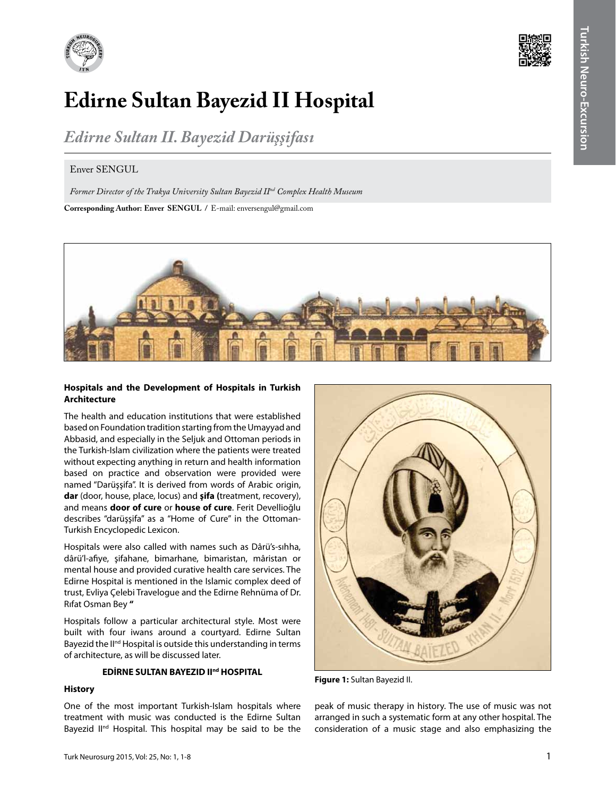



# **Edirne Sultan Bayezid II Hospital**

# *Edirne Sultan II. Bayezid Darüşşifası*

# Enver SENGUL

*Former Director of the Trakya University Sultan Bayezid IInd Complex Health Museum* 

**Corresponding Author: Enver SENGUL / E-mail: enversengul@gmail.com** 



### **Hospitals and the Development of Hospitals in Turkish Architecture**

The health and education institutions that were established based on Foundation tradition starting from the Umayyad and Abbasid, and especially in the Seljuk and Ottoman periods in the Turkish-Islam civilization where the patients were treated without expecting anything in return and health information based on practice and observation were provided were named "Darüşşifa". It is derived from words of Arabic origin, **dar** (door, house, place, locus) and **şifa (**treatment, recovery), and means **door of cure** or **house of cure**. Ferit Devellioğlu describes "darüşşifa" as a "Home of Cure" in the Ottoman-Turkish Encyclopedic Lexicon.

Hospitals were also called with names such as Dârü's-sıhha, dârü'l-afiye, şifahane, bimarhane, bimaristan, mâristan or mental house and provided curative health care services. The Edirne Hospital is mentioned in the Islamic complex deed of trust, Evliya Çelebi Travelogue and the Edirne Rehnüma of Dr. Rıfat Osman Bey **"**

Hospitals follow a particular architectural style. Most were built with four iwans around a courtyard. Edirne Sultan Bayezid the II<sup>nd</sup> Hospital is outside this understanding in terms of architecture, as will be discussed later.

### **EDİRNE SULTAN BAYEZID IInd HOSPITAL**

#### **History**

One of the most important Turkish-Islam hospitals where treatment with music was conducted is the Edirne Sultan Bayezid II<sup>nd</sup> Hospital. This hospital may be said to be the



**Figure 1:** Sultan Bayezid II.

peak of music therapy in history. The use of music was not arranged in such a systematic form at any other hospital. The consideration of a music stage and also emphasizing the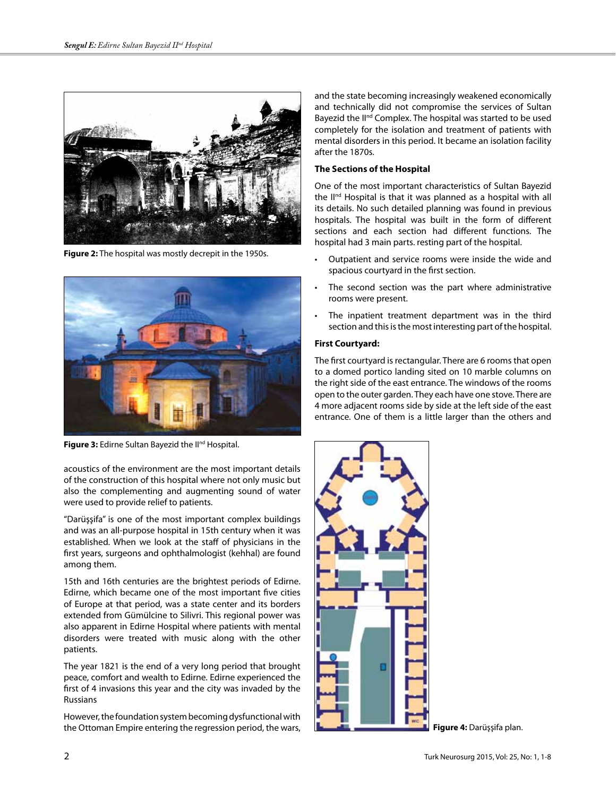

**Figure 2:** The hospital was mostly decrepit in the 1950s.



Figure 3: Edirne Sultan Bayezid the II<sup>nd</sup> Hospital.

acoustics of the environment are the most important details of the construction of this hospital where not only music but also the complementing and augmenting sound of water were used to provide relief to patients.

"Darüşşifa" is one of the most important complex buildings and was an all-purpose hospital in 15th century when it was established. When we look at the staff of physicians in the first years, surgeons and ophthalmologist (kehhal) are found among them.

15th and 16th centuries are the brightest periods of Edirne. Edirne, which became one of the most important five cities of Europe at that period, was a state center and its borders extended from Gümülcine to Silivri. This regional power was also apparent in Edirne Hospital where patients with mental disorders were treated with music along with the other patients.

The year 1821 is the end of a very long period that brought peace, comfort and wealth to Edirne. Edirne experienced the first of 4 invasions this year and the city was invaded by the Russians

However, the foundation system becoming dysfunctional with the Ottoman Empire entering the regression period, the wars, and the state becoming increasingly weakened economically and technically did not compromise the services of Sultan Bayezid the II<sup>nd</sup> Complex. The hospital was started to be used completely for the isolation and treatment of patients with mental disorders in this period. It became an isolation facility after the 1870s.

# **The Sections of the Hospital**

One of the most important characteristics of Sultan Bayezid the II<sup>nd</sup> Hospital is that it was planned as a hospital with all its details. No such detailed planning was found in previous hospitals. The hospital was built in the form of different sections and each section had different functions. The hospital had 3 main parts. resting part of the hospital.

- Outpatient and service rooms were inside the wide and spacious courtyard in the first section.
- The second section was the part where administrative rooms were present.
- • The inpatient treatment department was in the third section and this is the most interesting part of the hospital.

# **First Courtyard:**

The first courtyard is rectangular. There are 6 rooms that open to a domed portico landing sited on 10 marble columns on the right side of the east entrance. The windows of the rooms open to the outer garden. They each have one stove. There are 4 more adjacent rooms side by side at the left side of the east entrance. One of them is a little larger than the others and



**Figure 4:** Darüşşifa plan.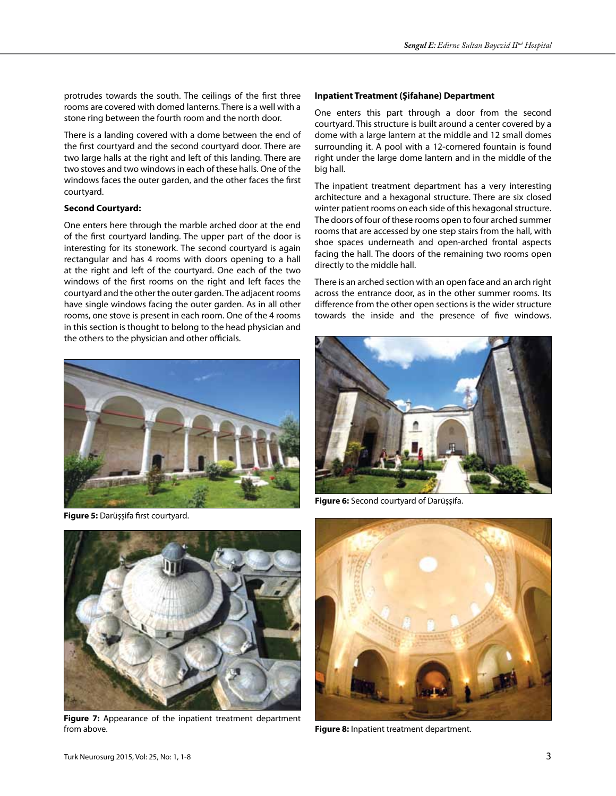protrudes towards the south. The ceilings of the first three rooms are covered with domed lanterns. There is a well with a stone ring between the fourth room and the north door.

There is a landing covered with a dome between the end of the first courtyard and the second courtyard door. There are two large halls at the right and left of this landing. There are two stoves and two windows in each of these halls. One of the windows faces the outer garden, and the other faces the first courtyard.

#### **Second Courtyard:**

One enters here through the marble arched door at the end of the first courtyard landing. The upper part of the door is interesting for its stonework. The second courtyard is again rectangular and has 4 rooms with doors opening to a hall at the right and left of the courtyard. One each of the two windows of the first rooms on the right and left faces the courtyard and the other the outer garden. The adjacent rooms have single windows facing the outer garden. As in all other rooms, one stove is present in each room. One of the 4 rooms in this section is thought to belong to the head physician and the others to the physician and other officials.



**Figure 5:** Darüşşifa first courtyard.



**Figure 7:** Appearance of the inpatient treatment department from above. **Figure 8:** Inpatient treatment department.

#### **Inpatient Treatment (Şifahane) Department**

One enters this part through a door from the second courtyard. This structure is built around a center covered by a dome with a large lantern at the middle and 12 small domes surrounding it. A pool with a 12-cornered fountain is found right under the large dome lantern and in the middle of the big hall.

The inpatient treatment department has a very interesting architecture and a hexagonal structure. There are six closed winter patient rooms on each side of this hexagonal structure. The doors of four of these rooms open to four arched summer rooms that are accessed by one step stairs from the hall, with shoe spaces underneath and open-arched frontal aspects facing the hall. The doors of the remaining two rooms open directly to the middle hall.

There is an arched section with an open face and an arch right across the entrance door, as in the other summer rooms. Its difference from the other open sections is the wider structure towards the inside and the presence of five windows.



**Figure 6:** Second courtyard of Darüşşifa.

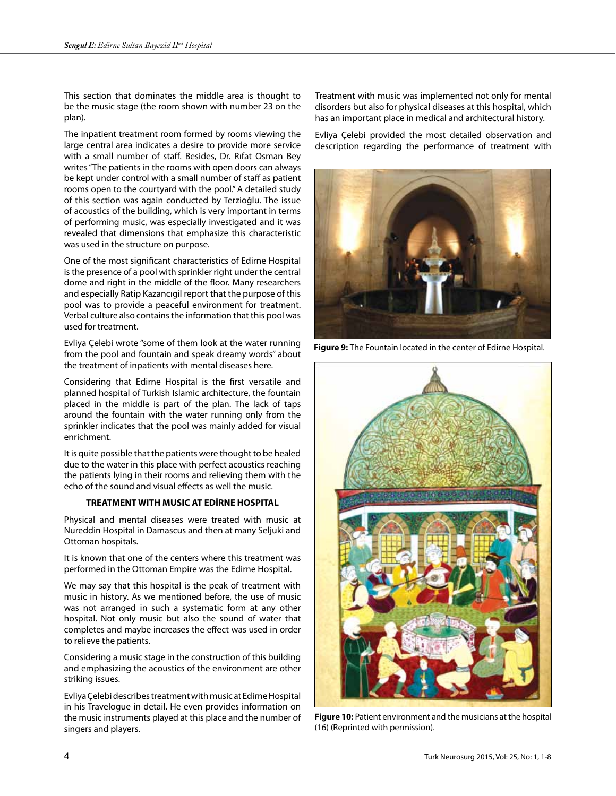This section that dominates the middle area is thought to be the music stage (the room shown with number 23 on the plan).

The inpatient treatment room formed by rooms viewing the large central area indicates a desire to provide more service with a small number of staff. Besides, Dr. Rıfat Osman Bey writes "The patients in the rooms with open doors can always be kept under control with a small number of staff as patient rooms open to the courtyard with the pool." A detailed study of this section was again conducted by Terzioğlu. The issue of acoustics of the building, which is very important in terms of performing music, was especially investigated and it was revealed that dimensions that emphasize this characteristic was used in the structure on purpose.

One of the most significant characteristics of Edirne Hospital is the presence of a pool with sprinkler right under the central dome and right in the middle of the floor. Many researchers and especially Ratip Kazancıgil report that the purpose of this pool was to provide a peaceful environment for treatment. Verbal culture also contains the information that this pool was used for treatment.

Evliya Çelebi wrote "some of them look at the water running from the pool and fountain and speak dreamy words" about the treatment of inpatients with mental diseases here.

Considering that Edirne Hospital is the first versatile and planned hospital of Turkish Islamic architecture, the fountain placed in the middle is part of the plan. The lack of taps around the fountain with the water running only from the sprinkler indicates that the pool was mainly added for visual enrichment.

It is quite possible that the patients were thought to be healed due to the water in this place with perfect acoustics reaching the patients lying in their rooms and relieving them with the echo of the sound and visual effects as well the music.

#### **TREATMENT WITH MUSIC AT EDİRNE HOSPITAL**

Physical and mental diseases were treated with music at Nureddin Hospital in Damascus and then at many Seljuki and Ottoman hospitals.

It is known that one of the centers where this treatment was performed in the Ottoman Empire was the Edirne Hospital.

We may say that this hospital is the peak of treatment with music in history. As we mentioned before, the use of music was not arranged in such a systematic form at any other hospital. Not only music but also the sound of water that completes and maybe increases the effect was used in order to relieve the patients.

Considering a music stage in the construction of this building and emphasizing the acoustics of the environment are other striking issues.

Evliya Çelebi describes treatment with music at Edirne Hospital in his Travelogue in detail. He even provides information on the music instruments played at this place and the number of singers and players.

Treatment with music was implemented not only for mental disorders but also for physical diseases at this hospital, which has an important place in medical and architectural history.

Evliya Çelebi provided the most detailed observation and description regarding the performance of treatment with



**Figure 9:** The Fountain located in the center of Edirne Hospital.



**Figure 10:** Patient environment and the musicians at the hospital (16) (Reprinted with permission).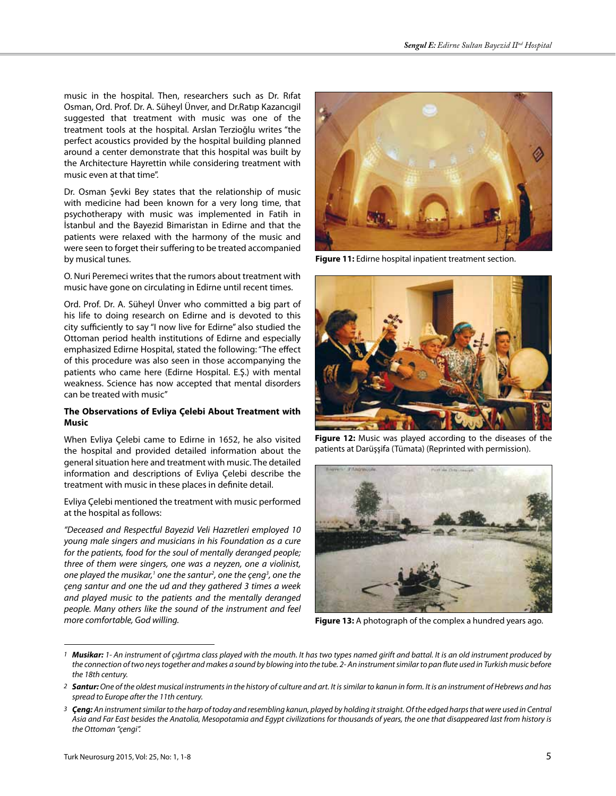music in the hospital. Then, researchers such as Dr. Rıfat Osman, Ord. Prof. Dr. A. Süheyl Ünver, and Dr.Ratıp Kazancıgil suggested that treatment with music was one of the treatment tools at the hospital. Arslan Terzioğlu writes "the perfect acoustics provided by the hospital building planned around a center demonstrate that this hospital was built by the Architecture Hayrettin while considering treatment with music even at that time".

Dr. Osman Şevki Bey states that the relationship of music with medicine had been known for a very long time, that psychotherapy with music was implemented in Fatih in İstanbul and the Bayezid Bimaristan in Edirne and that the patients were relaxed with the harmony of the music and were seen to forget their suffering to be treated accompanied by musical tunes.

O. Nuri Peremeci writes that the rumors about treatment with music have gone on circulating in Edirne until recent times.

Ord. Prof. Dr. A. Süheyl Ünver who committed a big part of his life to doing research on Edirne and is devoted to this city sufficiently to say "I now live for Edirne" also studied the Ottoman period health institutions of Edirne and especially emphasized Edirne Hospital, stated the following: "The effect of this procedure was also seen in those accompanying the patients who came here (Edirne Hospital. E.Ş.) with mental weakness. Science has now accepted that mental disorders can be treated with music"

### **The Observations of Evliya Çelebi About Treatment with Music**

When Evliya Çelebi came to Edirne in 1652, he also visited the hospital and provided detailed information about the general situation here and treatment with music. The detailed information and descriptions of Evliya Çelebi describe the treatment with music in these places in definite detail.

Evliya Çelebi mentioned the treatment with music performed at the hospital as follows:

*"Deceased and Respectful Bayezid Veli Hazretleri employed 10 young male singers and musicians in his Foundation as a cure for the patients, food for the soul of mentally deranged people; three of them were singers, one was a neyzen, one a violinist, one played the musikar,1 one the santur2 , one the çeng3 , one the çeng santur and one the ud and they gathered 3 times a week and played music to the patients and the mentally deranged people. Many others like the sound of the instrument and feel more comfortable, God willing.*



**Figure 11:** Edirne hospital inpatient treatment section.



**Figure 12:** Music was played according to the diseases of the patients at Darüşşifa (Tümata) (Reprinted with permission).



**Figure 13:** A photograph of the complex a hundred years ago.

*<sup>1</sup> Musikar: 1- An instrument of çığırtma class played with the mouth. It has two types named girift and battal. It is an old instrument produced by the connection of two neys together and makes a sound by blowing into the tube. 2- An instrument similar to pan flute used in Turkish music before the 18th century.* 

*<sup>2</sup> Santur: One of the oldest musical instruments in the history of culture and art. It is similar to kanun in form. It is an instrument of Hebrews and has spread to Europe after the 11th century.* 

*<sup>3</sup> Çeng: An instrument similar to the harp of today and resembling kanun, played by holding it straight. Of the edged harps that were used in Central Asia and Far East besides the Anatolia, Mesopotamia and Egypt civilizations for thousands of years, the one that disappeared last from history is the Ottoman "çengi".*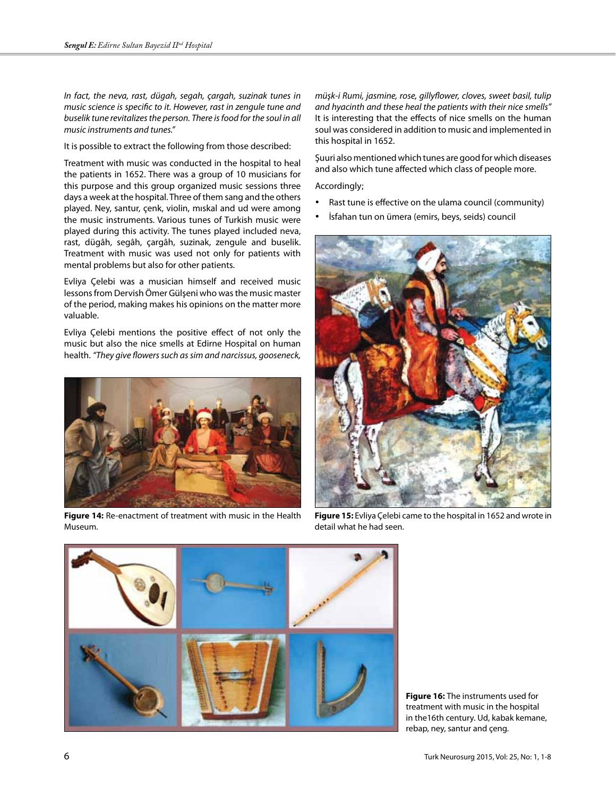*In fact, the neva, rast, dügah, segah, çargah, suzinak tunes in music science is specific to it. However, rast in zengule tune and buselik tune revitalizes the person. There is food for the soul in all music instruments and tunes."*

It is possible to extract the following from those described:

Treatment with music was conducted in the hospital to heal the patients in 1652. There was a group of 10 musicians for this purpose and this group organized music sessions three days a week at the hospital. Three of them sang and the others played. Ney, santur, çenk, violin, mıskal and ud were among the music instruments. Various tunes of Turkish music were played during this activity. The tunes played included neva, rast, dügâh, segâh, çargâh, suzinak, zengule and buselik. Treatment with music was used not only for patients with mental problems but also for other patients.

Evliya Çelebi was a musician himself and received music lessons from Dervish Ömer Gülşeni who was the music master of the period, making makes his opinions on the matter more valuable.

Evliya Çelebi mentions the positive effect of not only the music but also the nice smells at Edirne Hospital on human health. *"They give flowers such as sim and narcissus, gooseneck,* 



**Figure 14:** Re-enactment of treatment with music in the Health Museum.

*müşk-i Rumi, jasmine, rose, gillyflower, cloves, sweet basil, tulip and hyacinth and these heal the patients with their nice smells"*  It is interesting that the effects of nice smells on the human soul was considered in addition to music and implemented in this hospital in 1652.

Şuuri also mentioned which tunes are good for which diseases and also which tune affected which class of people more.

Accordingly;

- Rast tune is effective on the ulama council (community)
- İsfahan tun on ümera (emirs, beys, seids) council



**Figure 15:** Evliya Çelebi came to the hospital in 1652 and wrote in detail what he had seen.



**Figure 16:** The instruments used for treatment with music in the hospital in the16th century. Ud, kabak kemane, rebap, ney, santur and çeng.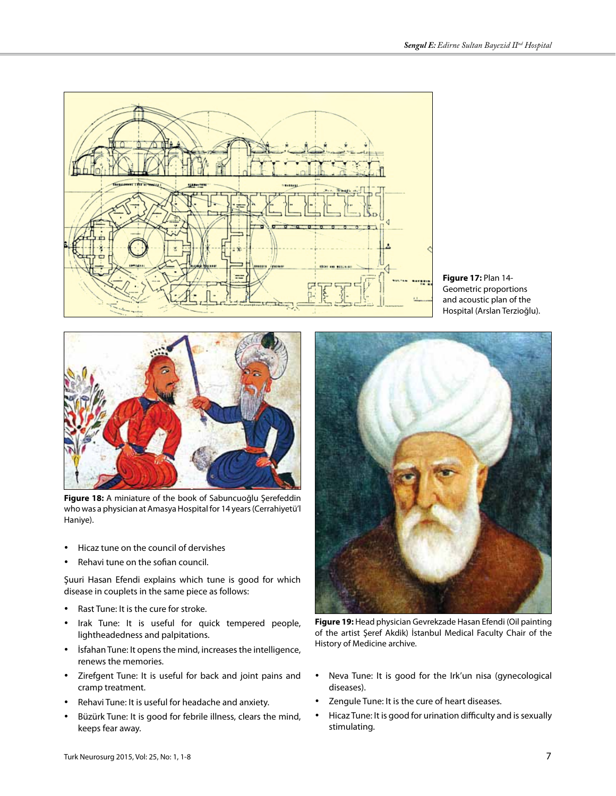

**Figure 17:** Plan 14- Geometric proportions and acoustic plan of the Hospital (Arslan Terzioğlu).



**Figure 18:** A miniature of the book of Sabuncuoğlu Şerefeddin who was a physician at Amasya Hospital for 14 years (Cerrahiyetü'l Haniye).

- • Hicaz tune on the council of dervishes
- Rehavi tune on the sofian council.

Şuuri Hasan Efendi explains which tune is good for which disease in couplets in the same piece as follows:

- Rast Tune: It is the cure for stroke.
- Irak Tune: It is useful for quick tempered people, lightheadedness and palpitations.
- • İsfahan Tune: It opens the mind, increases the intelligence, renews the memories.
- Zirefgent Tune: It is useful for back and joint pains and cramp treatment.
- Rehavi Tune: It is useful for headache and anxiety.
- Büzürk Tune: It is good for febrile illness, clears the mind, keeps fear away.



**Figure 19:** Head physician Gevrekzade Hasan Efendi (Oil painting of the artist Şeref Akdik) İstanbul Medical Faculty Chair of the History of Medicine archive.

- Neva Tune: It is good for the Irk'un nisa (gynecological diseases).
- • Zengule Tune: It is the cure of heart diseases.
- • Hicaz Tune: It is good for urination difficulty and is sexually stimulating.